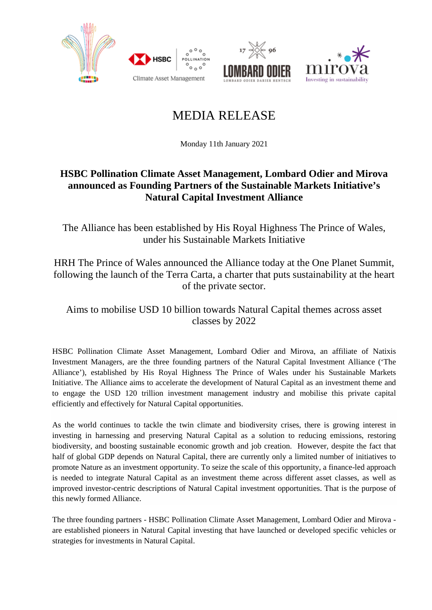





# MEDIA RELEASE

Monday 11th January 2021

# **HSBC Pollination Climate Asset Management, Lombard Odier and Mirova announced as Founding Partners of the Sustainable Markets Initiative's Natural Capital Investment Alliance**

The Alliance has been established by His Royal Highness The Prince of Wales, under his Sustainable Markets Initiative

HRH The Prince of Wales announced the Alliance today at the One Planet Summit, following the launch of the Terra Carta, a charter that puts sustainability at the heart of the private sector.

Aims to mobilise USD 10 billion towards Natural Capital themes across asset classes by 2022

HSBC Pollination Climate Asset Management, Lombard Odier and Mirova, an affiliate of Natixis Investment Managers, are the three founding partners of the Natural Capital Investment Alliance ('The Alliance'), established by His Royal Highness The Prince of Wales under his Sustainable Markets Initiative. The Alliance aims to accelerate the development of Natural Capital as an investment theme and to engage the USD 120 trillion investment management industry and mobilise this private capital efficiently and effectively for Natural Capital opportunities.

As the world continues to tackle the twin climate and biodiversity crises, there is growing interest in investing in harnessing and preserving Natural Capital as a solution to reducing emissions, restoring biodiversity, and boosting sustainable economic growth and job creation. However, despite the fact that half of global GDP depends on Natural Capital, there are currently only a limited number of initiatives to promote Nature as an investment opportunity. To seize the scale of this opportunity, a finance-led approach is needed to integrate Natural Capital as an investment theme across different asset classes, as well as improved investor-centric descriptions of Natural Capital investment opportunities. That is the purpose of this newly formed Alliance.

The three founding partners - HSBC Pollination Climate Asset Management, Lombard Odier and Mirova are established pioneers in Natural Capital investing that have launched or developed specific vehicles or strategies for investments in Natural Capital.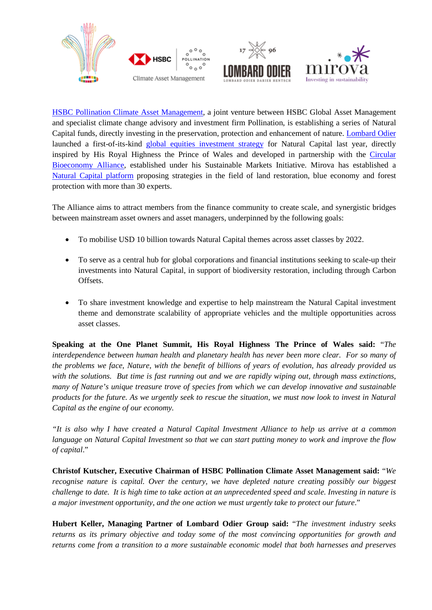





[HSBC Pollination Climate Asset Management,](https://pollinationgroup.com/climateassetmanagement/) a joint venture between HSBC Global Asset Management and specialist climate change advisory and investment firm Pollination, is establishing a series of Natural Capital funds, directly investing in the preservation, protection and enhancement of nature. [Lombard Odier](http://www.lombardodier.com/) launched a first-of-its-kind [global equities investment strategy](https://www.lombardodier.com/contents/corporate-news/media-releases/2020/november/lombard-odier-launches-natural-c.html) for Natural Capital last year, directly inspired by His Royal Highness the Prince of Wales and developed in partnership with the [Circular](https://efi.int/sites/default/files/files/cba/Circular_Bioeconomy_Alliance_leaflet_final.pdf)  [Bioeconomy Alliance,](https://efi.int/sites/default/files/files/cba/Circular_Bioeconomy_Alliance_leaflet_final.pdf) established under his Sustainable Markets Initiative. Mirova has established a [Natural Capital platform](https://www.mirova.com/en/invest/natural-capital) proposing strategies in the field of land restoration, blue economy and forest protection with more than 30 experts.

The Alliance aims to attract members from the finance community to create scale, and synergistic bridges between mainstream asset owners and asset managers, underpinned by the following goals:

- To mobilise USD 10 billion towards Natural Capital themes across asset classes by 2022.
- To serve as a central hub for global corporations and financial institutions seeking to scale-up their investments into Natural Capital, in support of biodiversity restoration, including through Carbon Offsets.
- To share investment knowledge and expertise to help mainstream the Natural Capital investment theme and demonstrate scalability of appropriate vehicles and the multiple opportunities across asset classes.

**Speaking at the One Planet Summit, His Royal Highness The Prince of Wales said:** "*The interdependence between human health and planetary health has never been more clear. For so many of the problems we face, Nature, with the benefit of billions of years of evolution, has already provided us with the solutions. But time is fast running out and we are rapidly wiping out, through mass extinctions, many of Nature's unique treasure trove of species from which we can develop innovative and sustainable products for the future. As we urgently seek to rescue the situation, we must now look to invest in Natural Capital as the engine of our economy.* 

*"It is also why I have created a Natural Capital Investment Alliance to help us arrive at a common language on Natural Capital Investment so that we can start putting money to work and improve the flow of capital*."

**Christof Kutscher, Executive Chairman of HSBC Pollination Climate Asset Management said:** "*We recognise nature is capital. Over the century, we have depleted nature creating possibly our biggest challenge to date. It is high time to take action at an unprecedented speed and scale. Investing in nature is a major investment opportunity, and the one action we must urgently take to protect our future*."

**Hubert Keller, Managing Partner of Lombard Odier Group said:** "*The investment industry seeks returns as its primary objective and today some of the most convincing opportunities for growth and returns come from a transition to a more sustainable economic model that both harnesses and preserves*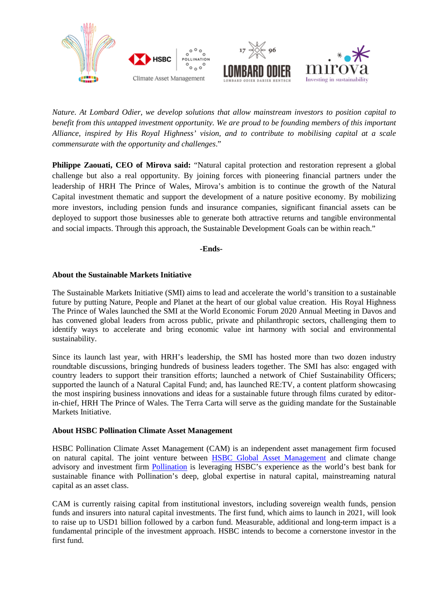

*Nature. At Lombard Odier, we develop solutions that allow mainstream investors to position capital to benefit from this untapped investment opportunity. We are proud to be founding members of this important Alliance, inspired by His Royal Highness' vision, and to contribute to mobilising capital at a scale commensurate with the opportunity and challenges*."

**Philippe Zaouati, CEO of Mirova said:** "Natural capital protection and restoration represent a global challenge but also a real opportunity. By joining forces with pioneering financial partners under the leadership of HRH The Prince of Wales, Mirova's ambition is to continue the growth of the Natural Capital investment thematic and support the development of a nature positive economy. By mobilizing more investors, including pension funds and insurance companies, significant financial assets can be deployed to support those businesses able to generate both attractive returns and tangible environmental and social impacts. Through this approach, the Sustainable Development Goals can be within reach."

**-Ends-**

# **About the Sustainable Markets Initiative**

The Sustainable Markets Initiative (SMI) aims to lead and accelerate the world's transition to a sustainable future by putting Nature, People and Planet at the heart of our global value creation. His Royal Highness The Prince of Wales launched the SMI at the World Economic Forum 2020 Annual Meeting in Davos and has convened global leaders from across public, private and philanthropic sectors, challenging them to identify ways to accelerate and bring economic value int harmony with social and environmental sustainability.

Since its launch last year, with HRH's leadership, the SMI has hosted more than two dozen industry roundtable discussions, bringing hundreds of business leaders together. The SMI has also: engaged with country leaders to support their transition efforts; launched a network of Chief Sustainability Officers; supported the launch of a Natural Capital Fund; and, has launched RE:TV, a content platform showcasing the most inspiring business innovations and ideas for a sustainable future through films curated by editorin-chief, HRH The Prince of Wales. The Terra Carta will serve as the guiding mandate for the Sustainable Markets Initiative.

#### **About HSBC Pollination Climate Asset Management**

HSBC Pollination Climate Asset Management (CAM) is an independent asset management firm focused on natural capital. The joint venture between [HSBC Global Asset Management](https://www.assetmanagement.hsbc.co.uk/en/institutional-investor) and climate change advisory and investment firm [Pollination](https://pollinationgroup.com/climateassetmanagement/) is leveraging HSBC's experience as the world's best bank for sustainable finance with Pollination's deep, global expertise in natural capital, mainstreaming natural capital as an asset class.

CAM is currently raising capital from institutional investors, including sovereign wealth funds, pension funds and insurers into natural capital investments. The first fund, which aims to launch in 2021, will look to raise up to USD1 billion followed by a carbon fund. Measurable, additional and long-term impact is a fundamental principle of the investment approach. HSBC intends to become a cornerstone investor in the first fund.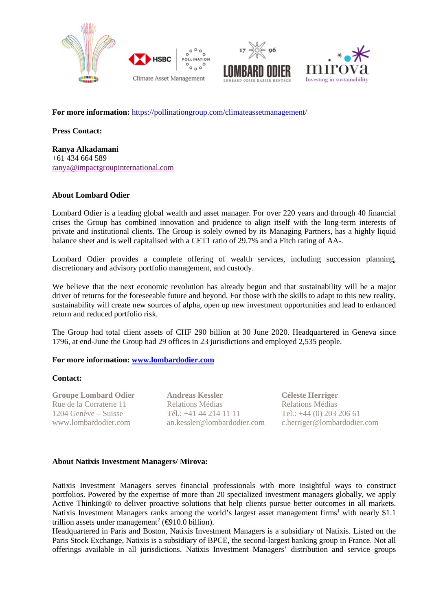





For more information: <https://pollinationgroup.com/climateassetmanagement/>

 $^{\circ}$   $^{\circ}$ 

**Press Contact:**

**Ranya Alkadamani** +61 434 664 589 [ranya@impactgroupinternational.com](mailto:ranya@impactgroupinternational.com)

# **About Lombard Odier**

Lombard Odier is a leading global wealth and asset manager. For over 220 years and through 40 financial crises the Group has combined innovation and prudence to align itself with the long-term interests of private and institutional clients. The Group is solely owned by its Managing Partners, has a highly liquid balance sheet and is well capitalised with a CET1 ratio of 29.7% and a Fitch rating of AA-.

Lombard Odier provides a complete offering of wealth services, including succession planning, discretionary and advisory portfolio management, and custody.

We believe that the next economic revolution has already begun and that sustainability will be a major driver of returns for the foreseeable future and beyond. For those with the skills to adapt to this new reality, sustainability will create new sources of alpha, open up new investment opportunities and lead to enhanced return and reduced portfolio risk.

The Group had total client assets of CHF 290 billion at 30 June 2020. Headquartered in Geneva since 1796, at end-June the Group had 29 offices in 23 jurisdictions and employed 2,535 people.

### **For more information: [www.lombardodier.com](http://www.lombardodier.com/)**

#### **Contact:**

**Groupe Lombard Odier** Rue de la Corraterie 11 1204 Genève – Suisse [www.lombardodier.com](http://www.lombardodier.com/)

**Andreas Kessler** Relations Médias Tél.: +41 44 214 11 11 [an.kessler@lombardodier.com](mailto:an.kessler@lombardodier.com)

**Céleste Herriger** Relations Médias Tel.: +44 (0) 203 206 61 [c.herriger@lombardodier.com](mailto:c.herriger@lombardodier.com)

#### **About Natixis Investment Managers/ Mirova:**

Natixis Investment Managers serves financial professionals with more insightful ways to construct portfolios. Powered by the expertise of more than 20 specialized investment managers globally, we apply Active Thinking® to deliver proactive solutions that help clients pursue better outcomes in all markets. Natixis Investment Managers ranks among the world's largest asset management firms<sup>1</sup> with nearly \$1.1 trillion assets under management<sup>2</sup> ( $\bigoplus$ 10.0 billion).

Headquartered in Paris and Boston, Natixis Investment Managers is a subsidiary of Natixis. Listed on the Paris Stock Exchange, Natixis is a subsidiary of BPCE, the second-largest banking group in France. Not all offerings available in all jurisdictions. Natixis Investment Managers' distribution and service groups